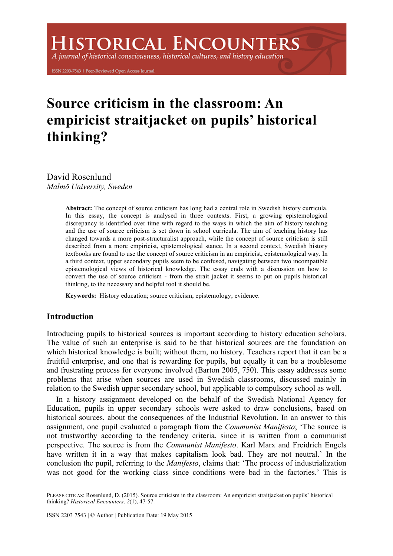# **HISTORICAL ENCOUNTERS**

A journal of historical consciousness, historical cultures, and history education

ISSN 2203-7543 | Peer-Reviewed Open Access Journal

# **Source criticism in the classroom: An empiricist straitjacket on pupils' historical thinking?**

David Rosenlund *Malmö University, Sweden* 

> **Abstract:** The concept of source criticism has long had a central role in Swedish history curricula. In this essay, the concept is analysed in three contexts. First, a growing epistemological discrepancy is identified over time with regard to the ways in which the aim of history teaching and the use of source criticism is set down in school curricula. The aim of teaching history has changed towards a more post-structuralist approach, while the concept of source criticism is still described from a more empiricist, epistemological stance. In a second context, Swedish history textbooks are found to use the concept of source criticism in an empiricist, epistemological way. In a third context, upper secondary pupils seem to be confused, navigating between two incompatible epistemological views of historical knowledge. The essay ends with a discussion on how to convert the use of source criticism - from the strait jacket it seems to put on pupils historical thinking, to the necessary and helpful tool it should be.

**Keywords:** History education; source criticism, epistemology; evidence.

# **Introduction**

Introducing pupils to historical sources is important according to history education scholars. The value of such an enterprise is said to be that historical sources are the foundation on which historical knowledge is built; without them, no history. Teachers report that it can be a fruitful enterprise, and one that is rewarding for pupils, but equally it can be a troublesome and frustrating process for everyone involved (Barton 2005, 750). This essay addresses some problems that arise when sources are used in Swedish classrooms, discussed mainly in relation to the Swedish upper secondary school, but applicable to compulsory school as well.

In a history assignment developed on the behalf of the Swedish National Agency for Education, pupils in upper secondary schools were asked to draw conclusions, based on historical sources, about the consequences of the Industrial Revolution. In an answer to this assignment, one pupil evaluated a paragraph from the *Communist Manifesto*; 'The source is not trustworthy according to the tendency criteria, since it is written from a communist perspective. The source is from the *Communist Manifesto*. Karl Marx and Freidrich Engels have written it in a way that makes capitalism look bad. They are not neutral.' In the conclusion the pupil, referring to the *Manifesto*, claims that: 'The process of industrialization was not good for the working class since conditions were bad in the factories.' This is

PLEASE CITE AS: Rosenlund, D. (2015). Source criticism in the classroom: An empiricist straitjacket on pupils' historical thinking? *Historical Encounters, 2*(1), 47-57.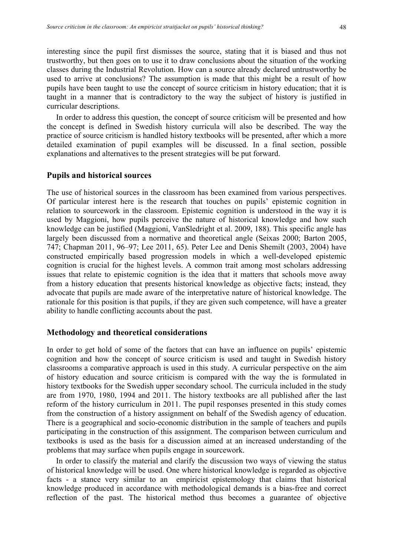interesting since the pupil first dismisses the source, stating that it is biased and thus not trustworthy, but then goes on to use it to draw conclusions about the situation of the working classes during the Industrial Revolution. How can a source already declared untrustworthy be used to arrive at conclusions? The assumption is made that this might be a result of how pupils have been taught to use the concept of source criticism in history education; that it is taught in a manner that is contradictory to the way the subject of history is justified in curricular descriptions.

In order to address this question, the concept of source criticism will be presented and how the concept is defined in Swedish history curricula will also be described. The way the practice of source criticism is handled history textbooks will be presented, after which a more detailed examination of pupil examples will be discussed. In a final section, possible explanations and alternatives to the present strategies will be put forward.

# **Pupils and historical sources**

The use of historical sources in the classroom has been examined from various perspectives. Of particular interest here is the research that touches on pupils' epistemic cognition in relation to sourcework in the classroom. Epistemic cognition is understood in the way it is used by Maggioni, how pupils perceive the nature of historical knowledge and how such knowledge can be justified (Maggioni, VanSledright et al. 2009, 188). This specific angle has largely been discussed from a normative and theoretical angle (Seixas 2000; Barton 2005, 747; Chapman 2011, 96–97; Lee 2011, 65). Peter Lee and Denis Shemilt (2003, 2004) have constructed empirically based progression models in which a well-developed epistemic cognition is crucial for the highest levels. A common trait among most scholars addressing issues that relate to epistemic cognition is the idea that it matters that schools move away from a history education that presents historical knowledge as objective facts; instead, they advocate that pupils are made aware of the interpretative nature of historical knowledge. The rationale for this position is that pupils, if they are given such competence, will have a greater ability to handle conflicting accounts about the past.

# **Methodology and theoretical considerations**

In order to get hold of some of the factors that can have an influence on pupils' epistemic cognition and how the concept of source criticism is used and taught in Swedish history classrooms a comparative approach is used in this study. A curricular perspective on the aim of history education and source criticism is compared with the way the is formulated in history textbooks for the Swedish upper secondary school. The curricula included in the study are from 1970, 1980, 1994 and 2011. The history textbooks are all published after the last reform of the history curriculum in 2011. The pupil responses presented in this study comes from the construction of a history assignment on behalf of the Swedish agency of education. There is a geographical and socio-economic distribution in the sample of teachers and pupils participating in the construction of this assignment. The comparison between curriculum and textbooks is used as the basis for a discussion aimed at an increased understanding of the problems that may surface when pupils engage in sourcework.

In order to classify the material and clarify the discussion two ways of viewing the status of historical knowledge will be used. One where historical knowledge is regarded as objective facts - a stance very similar to an empiricist epistemology that claims that historical knowledge produced in accordance with methodological demands is a bias-free and correct reflection of the past. The historical method thus becomes a guarantee of objective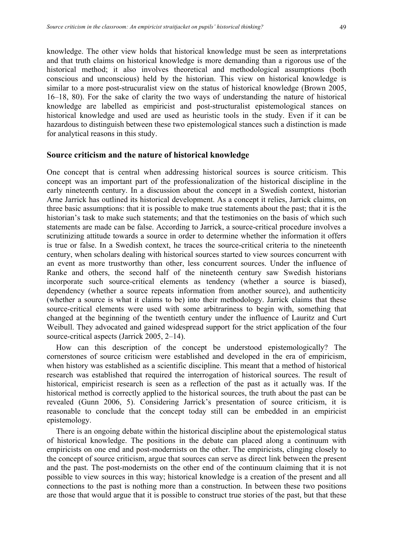knowledge. The other view holds that historical knowledge must be seen as interpretations and that truth claims on historical knowledge is more demanding than a rigorous use of the historical method; it also involves theoretical and methodological assumptions (both conscious and unconscious) held by the historian. This view on historical knowledge is similar to a more post-strucuralist view on the status of historical knowledge (Brown 2005, 16–18, 80). For the sake of clarity the two ways of understanding the nature of historical knowledge are labelled as empiricist and post-structuralist epistemological stances on historical knowledge and used are used as heuristic tools in the study. Even if it can be hazardous to distinguish between these two epistemological stances such a distinction is made for analytical reasons in this study.

## **Source criticism and the nature of historical knowledge**

One concept that is central when addressing historical sources is source criticism. This concept was an important part of the professionalization of the historical discipline in the early nineteenth century. In a discussion about the concept in a Swedish context, historian Arne Jarrick has outlined its historical development. As a concept it relies, Jarrick claims, on three basic assumptions: that it is possible to make true statements about the past; that it is the historian's task to make such statements; and that the testimonies on the basis of which such statements are made can be false. According to Jarrick, a source-critical procedure involves a scrutinizing attitude towards a source in order to determine whether the information it offers is true or false. In a Swedish context, he traces the source-critical criteria to the nineteenth century, when scholars dealing with historical sources started to view sources concurrent with an event as more trustworthy than other, less concurrent sources. Under the influence of Ranke and others, the second half of the nineteenth century saw Swedish historians incorporate such source-critical elements as tendency (whether a source is biased), dependency (whether a source repeats information from another source), and authenticity (whether a source is what it claims to be) into their methodology. Jarrick claims that these source-critical elements were used with some arbitrariness to begin with, something that changed at the beginning of the twentieth century under the influence of Lauritz and Curt Weibull. They advocated and gained widespread support for the strict application of the four source-critical aspects (Jarrick 2005, 2–14).

How can this description of the concept be understood epistemologically? The cornerstones of source criticism were established and developed in the era of empiricism, when history was established as a scientific discipline. This meant that a method of historical research was established that required the interrogation of historical sources. The result of historical, empiricist research is seen as a reflection of the past as it actually was. If the historical method is correctly applied to the historical sources, the truth about the past can be revealed (Gunn 2006, 5). Considering Jarrick's presentation of source criticism, it is reasonable to conclude that the concept today still can be embedded in an empiricist epistemology.

There is an ongoing debate within the historical discipline about the epistemological status of historical knowledge. The positions in the debate can placed along a continuum with empiricists on one end and post-modernists on the other. The empiricists, clinging closely to the concept of source criticism, argue that sources can serve as direct link between the present and the past. The post-modernists on the other end of the continuum claiming that it is not possible to view sources in this way; historical knowledge is a creation of the present and all connections to the past is nothing more than a construction. In between these two positions are those that would argue that it is possible to construct true stories of the past, but that these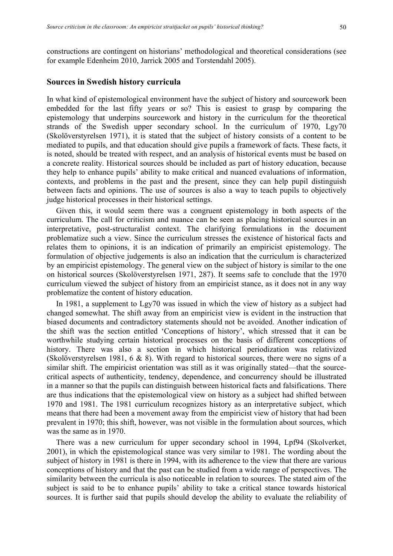constructions are contingent on historians' methodological and theoretical considerations (see for example Edenheim 2010, Jarrick 2005 and Torstendahl 2005).

# **Sources in Swedish history curricula**

In what kind of epistemological environment have the subject of history and sourcework been embedded for the last fifty years or so? This is easiest to grasp by comparing the epistemology that underpins sourcework and history in the curriculum for the theoretical strands of the Swedish upper secondary school. In the curriculum of 1970, Lgy70 (Skolöverstyrelsen 1971), it is stated that the subject of history consists of a content to be mediated to pupils, and that education should give pupils a framework of facts. These facts, it is noted, should be treated with respect, and an analysis of historical events must be based on a concrete reality. Historical sources should be included as part of history education, because they help to enhance pupils' ability to make critical and nuanced evaluations of information, contexts, and problems in the past and the present, since they can help pupil distinguish between facts and opinions. The use of sources is also a way to teach pupils to objectively judge historical processes in their historical settings.

Given this, it would seem there was a congruent epistemology in both aspects of the curriculum. The call for criticism and nuance can be seen as placing historical sources in an interpretative, post-structuralist context. The clarifying formulations in the document problematize such a view. Since the curriculum stresses the existence of historical facts and relates them to opinions, it is an indication of primarily an empiricist epistemology. The formulation of objective judgements is also an indication that the curriculum is characterized by an empiricist epistemology. The general view on the subject of history is similar to the one on historical sources (Skolöverstyrelsen 1971, 287). It seems safe to conclude that the 1970 curriculum viewed the subject of history from an empiricist stance, as it does not in any way problematize the content of history education.

In 1981, a supplement to Lgy70 was issued in which the view of history as a subject had changed somewhat. The shift away from an empiricist view is evident in the instruction that biased documents and contradictory statements should not be avoided. Another indication of the shift was the section entitled 'Conceptions of history', which stressed that it can be worthwhile studying certain historical processes on the basis of different conceptions of history. There was also a section in which historical periodization was relativized (Skolöverstyrelsen 1981, 6 & 8). With regard to historical sources, there were no signs of a similar shift. The empiricist orientation was still as it was originally stated—that the sourcecritical aspects of authenticity, tendency, dependence, and concurrency should be illustrated in a manner so that the pupils can distinguish between historical facts and falsifications. There are thus indications that the epistemological view on history as a subject had shifted between 1970 and 1981. The 1981 curriculum recognizes history as an interpretative subject, which means that there had been a movement away from the empiricist view of history that had been prevalent in 1970; this shift, however, was not visible in the formulation about sources, which was the same as in 1970.

There was a new curriculum for upper secondary school in 1994, Lpf94 (Skolverket, 2001), in which the epistemological stance was very similar to 1981. The wording about the subject of history in 1981 is there in 1994, with its adherence to the view that there are various conceptions of history and that the past can be studied from a wide range of perspectives. The similarity between the curricula is also noticeable in relation to sources. The stated aim of the subject is said to be to enhance pupils' ability to take a critical stance towards historical sources. It is further said that pupils should develop the ability to evaluate the reliability of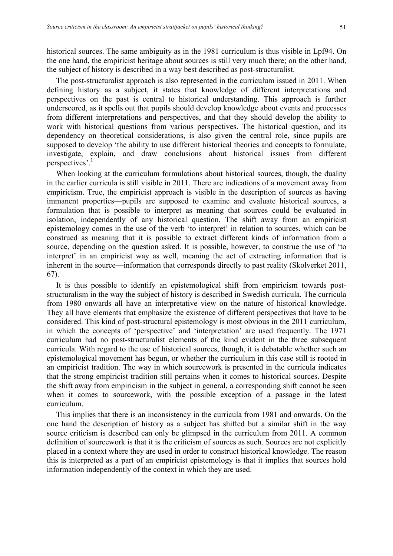historical sources. The same ambiguity as in the 1981 curriculum is thus visible in Lpf94. On the one hand, the empiricist heritage about sources is still very much there; on the other hand, the subject of history is described in a way best described as post-structuralist.

The post-structuralist approach is also represented in the curriculum issued in 2011. When defining history as a subject, it states that knowledge of different interpretations and perspectives on the past is central to historical understanding. This approach is further underscored, as it spells out that pupils should develop knowledge about events and processes from different interpretations and perspectives, and that they should develop the ability to work with historical questions from various perspectives. The historical question, and its dependency on theoretical considerations, is also given the central role, since pupils are supposed to develop 'the ability to use different historical theories and concepts to formulate, investigate, explain, and draw conclusions about historical issues from different perspectives'. 1

When looking at the curriculum formulations about historical sources, though, the duality in the earlier curricula is still visible in 2011. There are indications of a movement away from empiricism. True, the empiricist approach is visible in the description of sources as having immanent properties—pupils are supposed to examine and evaluate historical sources, a formulation that is possible to interpret as meaning that sources could be evaluated in isolation, independently of any historical question. The shift away from an empiricist epistemology comes in the use of the verb 'to interpret' in relation to sources, which can be construed as meaning that it is possible to extract different kinds of information from a source, depending on the question asked. It is possible, however, to construe the use of 'to interpret' in an empiricist way as well, meaning the act of extracting information that is inherent in the source—information that corresponds directly to past reality (Skolverket 2011, 67).

It is thus possible to identify an epistemological shift from empiricism towards poststructuralism in the way the subject of history is described in Swedish curricula. The curricula from 1980 onwards all have an interpretative view on the nature of historical knowledge. They all have elements that emphasize the existence of different perspectives that have to be considered. This kind of post-structural epistemology is most obvious in the 2011 curriculum, in which the concepts of 'perspective' and 'interpretation' are used frequently. The 1971 curriculum had no post-structuralist elements of the kind evident in the three subsequent curricula. With regard to the use of historical sources, though, it is debatable whether such an epistemological movement has begun, or whether the curriculum in this case still is rooted in an empiricist tradition. The way in which sourcework is presented in the curricula indicates that the strong empiricist tradition still pertains when it comes to historical sources. Despite the shift away from empiricism in the subject in general, a corresponding shift cannot be seen when it comes to sourcework, with the possible exception of a passage in the latest curriculum.

This implies that there is an inconsistency in the curricula from 1981 and onwards. On the one hand the description of history as a subject has shifted but a similar shift in the way source criticism is described can only be glimpsed in the curriculum from 2011. A common definition of sourcework is that it is the criticism of sources as such. Sources are not explicitly placed in a context where they are used in order to construct historical knowledge. The reason this is interpreted as a part of an empiricist epistemology is that it implies that sources hold information independently of the context in which they are used.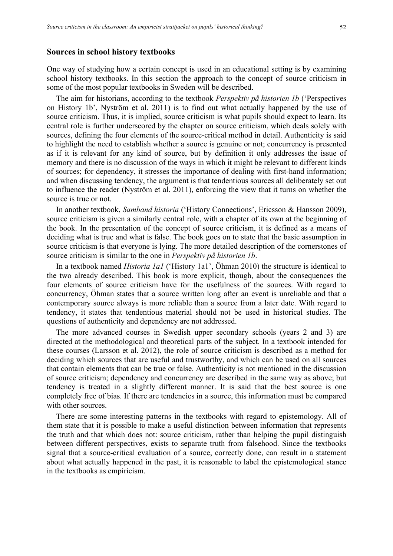#### **Sources in school history textbooks**

One way of studying how a certain concept is used in an educational setting is by examining school history textbooks. In this section the approach to the concept of source criticism in some of the most popular textbooks in Sweden will be described.

The aim for historians, according to the textbook *Perspektiv på historien 1b* ('Perspectives on History 1b', Nyström et al. 2011) is to find out what actually happened by the use of source criticism. Thus, it is implied, source criticism is what pupils should expect to learn. Its central role is further underscored by the chapter on source criticism, which deals solely with sources, defining the four elements of the source-critical method in detail. Authenticity is said to highlight the need to establish whether a source is genuine or not; concurrency is presented as if it is relevant for any kind of source, but by definition it only addresses the issue of memory and there is no discussion of the ways in which it might be relevant to different kinds of sources; for dependency, it stresses the importance of dealing with first-hand information; and when discussing tendency, the argument is that tendentious sources all deliberately set out to influence the reader (Nyström et al. 2011), enforcing the view that it turns on whether the source is true or not.

In another textbook, *Samband historia* ('History Connections', Ericsson & Hansson 2009), source criticism is given a similarly central role, with a chapter of its own at the beginning of the book. In the presentation of the concept of source criticism, it is defined as a means of deciding what is true and what is false. The book goes on to state that the basic assumption in source criticism is that everyone is lying. The more detailed description of the cornerstones of source criticism is similar to the one in *Perspektiv på historien 1b*.

In a textbook named *Historia 1a1* ('History 1a1', Öhman 2010) the structure is identical to the two already described. This book is more explicit, though, about the consequences the four elements of source criticism have for the usefulness of the sources. With regard to concurrency, Öhman states that a source written long after an event is unreliable and that a contemporary source always is more reliable than a source from a later date. With regard to tendency, it states that tendentious material should not be used in historical studies. The questions of authenticity and dependency are not addressed.

The more advanced courses in Swedish upper secondary schools (years 2 and 3) are directed at the methodological and theoretical parts of the subject. In a textbook intended for these courses (Larsson et al. 2012), the role of source criticism is described as a method for deciding which sources that are useful and trustworthy, and which can be used on all sources that contain elements that can be true or false. Authenticity is not mentioned in the discussion of source criticism; dependency and concurrency are described in the same way as above; but tendency is treated in a slightly different manner. It is said that the best source is one completely free of bias. If there are tendencies in a source, this information must be compared with other sources.

There are some interesting patterns in the textbooks with regard to epistemology. All of them state that it is possible to make a useful distinction between information that represents the truth and that which does not: source criticism, rather than helping the pupil distinguish between different perspectives, exists to separate truth from falsehood. Since the textbooks signal that a source-critical evaluation of a source, correctly done, can result in a statement about what actually happened in the past, it is reasonable to label the epistemological stance in the textbooks as empiricism.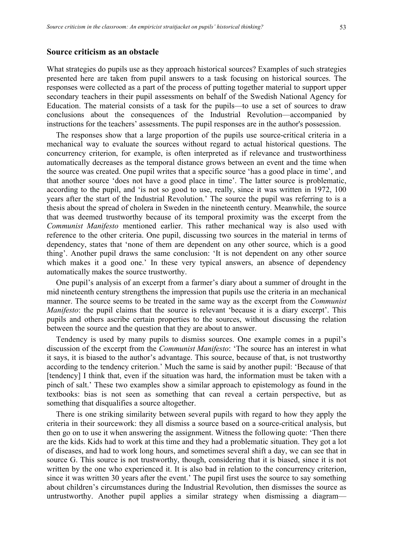# **Source criticism as an obstacle**

What strategies do pupils use as they approach historical sources? Examples of such strategies presented here are taken from pupil answers to a task focusing on historical sources. The responses were collected as a part of the process of putting together material to support upper secondary teachers in their pupil assessments on behalf of the Swedish National Agency for Education. The material consists of a task for the pupils—to use a set of sources to draw conclusions about the consequences of the Industrial Revolution—accompanied by instructions for the teachers' assessments. The pupil responses are in the author's possession.

The responses show that a large proportion of the pupils use source-critical criteria in a mechanical way to evaluate the sources without regard to actual historical questions. The concurrency criterion, for example, is often interpreted as if relevance and trustworthiness automatically decreases as the temporal distance grows between an event and the time when the source was created. One pupil writes that a specific source 'has a good place in time', and that another source 'does not have a good place in time'. The latter source is problematic, according to the pupil, and 'is not so good to use, really, since it was written in 1972, 100 years after the start of the Industrial Revolution.' The source the pupil was referring to is a thesis about the spread of cholera in Sweden in the nineteenth century. Meanwhile, the source that was deemed trustworthy because of its temporal proximity was the excerpt from the *Communist Manifesto* mentioned earlier. This rather mechanical way is also used with reference to the other criteria. One pupil, discussing two sources in the material in terms of dependency, states that 'none of them are dependent on any other source, which is a good thing'. Another pupil draws the same conclusion: 'It is not dependent on any other source which makes it a good one.' In these very typical answers, an absence of dependency automatically makes the source trustworthy.

One pupil's analysis of an excerpt from a farmer's diary about a summer of drought in the mid nineteenth century strengthens the impression that pupils use the criteria in an mechanical manner. The source seems to be treated in the same way as the excerpt from the *Communist Manifesto*: the pupil claims that the source is relevant 'because it is a diary excerpt'. This pupils and others ascribe certain properties to the sources, without discussing the relation between the source and the question that they are about to answer.

Tendency is used by many pupils to dismiss sources. One example comes in a pupil's discussion of the excerpt from the *Communist Manifesto*: 'The source has an interest in what it says, it is biased to the author's advantage. This source, because of that, is not trustworthy according to the tendency criterion.' Much the same is said by another pupil: 'Because of that [tendency] I think that, even if the situation was hard, the information must be taken with a pinch of salt.' These two examples show a similar approach to epistemology as found in the textbooks: bias is not seen as something that can reveal a certain perspective, but as something that disqualifies a source altogether.

There is one striking similarity between several pupils with regard to how they apply the criteria in their sourcework: they all dismiss a source based on a source-critical analysis, but then go on to use it when answering the assignment. Witness the following quote: 'Then there are the kids. Kids had to work at this time and they had a problematic situation. They got a lot of diseases, and had to work long hours, and sometimes several shift a day, we can see that in source G. This source is not trustworthy, though, considering that it is biased, since it is not written by the one who experienced it. It is also bad in relation to the concurrency criterion, since it was written 30 years after the event.' The pupil first uses the source to say something about children's circumstances during the Industrial Revolution, then dismisses the source as untrustworthy. Another pupil applies a similar strategy when dismissing a diagram—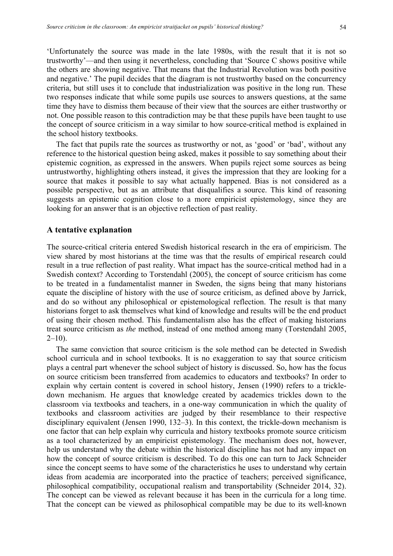'Unfortunately the source was made in the late 1980s, with the result that it is not so trustworthy'—and then using it nevertheless, concluding that 'Source C shows positive while the others are showing negative. That means that the Industrial Revolution was both positive and negative.' The pupil decides that the diagram is not trustworthy based on the concurrency criteria, but still uses it to conclude that industrialization was positive in the long run. These two responses indicate that while some pupils use sources to answers questions, at the same time they have to dismiss them because of their view that the sources are either trustworthy or not. One possible reason to this contradiction may be that these pupils have been taught to use the concept of source criticism in a way similar to how source-critical method is explained in the school history textbooks.

The fact that pupils rate the sources as trustworthy or not, as 'good' or 'bad', without any reference to the historical question being asked, makes it possible to say something about their epistemic cognition, as expressed in the answers. When pupils reject some sources as being untrustworthy, highlighting others instead, it gives the impression that they are looking for a source that makes it possible to say what actually happened. Bias is not considered as a possible perspective, but as an attribute that disqualifies a source. This kind of reasoning suggests an epistemic cognition close to a more empiricist epistemology, since they are looking for an answer that is an objective reflection of past reality.

# **A tentative explanation**

The source-critical criteria entered Swedish historical research in the era of empiricism. The view shared by most historians at the time was that the results of empirical research could result in a true reflection of past reality. What impact has the source-critical method had in a Swedish context? According to Torstendahl (2005), the concept of source criticism has come to be treated in a fundamentalist manner in Sweden, the signs being that many historians equate the discipline of history with the use of source criticism, as defined above by Jarrick, and do so without any philosophical or epistemological reflection. The result is that many historians forget to ask themselves what kind of knowledge and results will be the end product of using their chosen method. This fundamentalism also has the effect of making historians treat source criticism as *the* method, instead of one method among many (Torstendahl 2005,  $2-10$ ).

The same conviction that source criticism is the sole method can be detected in Swedish school curricula and in school textbooks. It is no exaggeration to say that source criticism plays a central part whenever the school subject of history is discussed. So, how has the focus on source criticism been transferred from academics to educators and textbooks? In order to explain why certain content is covered in school history, Jensen (1990) refers to a trickledown mechanism. He argues that knowledge created by academics trickles down to the classroom via textbooks and teachers, in a one-way communication in which the quality of textbooks and classroom activities are judged by their resemblance to their respective disciplinary equivalent (Jensen 1990, 132–3). In this context, the trickle-down mechanism is one factor that can help explain why curricula and history textbooks promote source criticism as a tool characterized by an empiricist epistemology. The mechanism does not, however, help us understand why the debate within the historical discipline has not had any impact on how the concept of source criticism is described. To do this one can turn to Jack Schneider since the concept seems to have some of the characteristics he uses to understand why certain ideas from academia are incorporated into the practice of teachers; perceived significance, philosophical compatibility, occupational realism and transportability (Schneider 2014, 32). The concept can be viewed as relevant because it has been in the curricula for a long time. That the concept can be viewed as philosophical compatible may be due to its well-known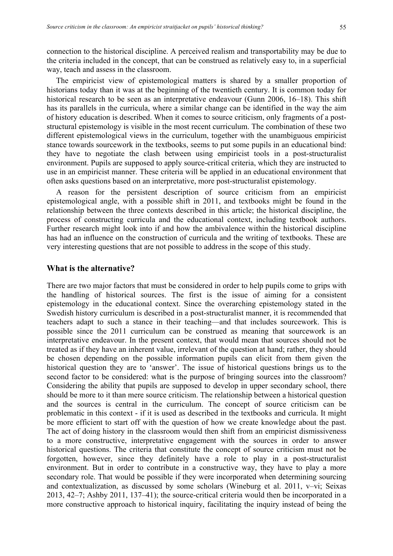connection to the historical discipline. A perceived realism and transportability may be due to the criteria included in the concept, that can be construed as relatively easy to, in a superficial way, teach and assess in the classroom.

The empiricist view of epistemological matters is shared by a smaller proportion of historians today than it was at the beginning of the twentieth century. It is common today for historical research to be seen as an interpretative endeavour (Gunn 2006, 16–18). This shift has its parallels in the curricula, where a similar change can be identified in the way the aim of history education is described. When it comes to source criticism, only fragments of a poststructural epistemology is visible in the most recent curriculum. The combination of these two different epistemological views in the curriculum, together with the unambiguous empiricist stance towards sourcework in the textbooks, seems to put some pupils in an educational bind: they have to negotiate the clash between using empiricist tools in a post-structuralist environment. Pupils are supposed to apply source-critical criteria, which they are instructed to use in an empiricist manner. These criteria will be applied in an educational environment that often asks questions based on an interpretative, more post-structuralist epistemology.

A reason for the persistent description of source criticism from an empiricist epistemological angle, with a possible shift in 2011, and textbooks might be found in the relationship between the three contexts described in this article; the historical discipline, the process of constructing curricula and the educational context, including textbook authors. Further research might look into if and how the ambivalence within the historical discipline has had an influence on the construction of curricula and the writing of textbooks. These are very interesting questions that are not possible to address in the scope of this study.

# **What is the alternative?**

There are two major factors that must be considered in order to help pupils come to grips with the handling of historical sources. The first is the issue of aiming for a consistent epistemology in the educational context. Since the overarching epistemology stated in the Swedish history curriculum is described in a post-structuralist manner, it is recommended that teachers adapt to such a stance in their teaching—and that includes sourcework. This is possible since the 2011 curriculum can be construed as meaning that sourcework is an interpretative endeavour. In the present context, that would mean that sources should not be treated as if they have an inherent value, irrelevant of the question at hand; rather, they should be chosen depending on the possible information pupils can elicit from them given the historical question they are to 'answer'. The issue of historical questions brings us to the second factor to be considered: what is the purpose of bringing sources into the classroom? Considering the ability that pupils are supposed to develop in upper secondary school, there should be more to it than mere source criticism. The relationship between a historical question and the sources is central in the curriculum. The concept of source criticism can be problematic in this context - if it is used as described in the textbooks and curricula. It might be more efficient to start off with the question of how we create knowledge about the past. The act of doing history in the classroom would then shift from an empiricist dismissiveness to a more constructive, interpretative engagement with the sources in order to answer historical questions. The criteria that constitute the concept of source criticism must not be forgotten, however, since they definitely have a role to play in a post-structuralist environment. But in order to contribute in a constructive way, they have to play a more secondary role. That would be possible if they were incorporated when determining sourcing and contextualization, as discussed by some scholars (Wineburg et al. 2011, v–vi; Seixas 2013, 42–7; Ashby 2011, 137–41); the source-critical criteria would then be incorporated in a more constructive approach to historical inquiry, facilitating the inquiry instead of being the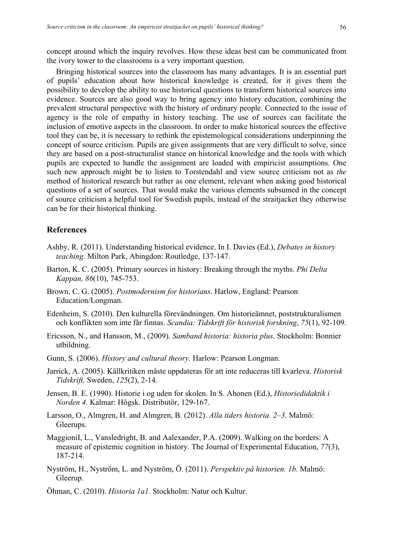concept around which the inquiry revolves. How these ideas best can be communicated from the ivory tower to the classrooms is a very important question.

Bringing historical sources into the classroom has many advantages. It is an essential part of pupils' education about how historical knowledge is created, for it gives them the possibility to develop the ability to use historical questions to transform historical sources into evidence. Sources are also good way to bring agency into history education, combining the prevalent structural perspective with the history of ordinary people. Connected to the issue of agency is the role of empathy in history teaching. The use of sources can facilitate the inclusion of emotive aspects in the classroom. In order to make historical sources the effective tool they can be, it is necessary to rethink the epistemological considerations underpinning the concept of source criticism. Pupils are given assignments that are very difficult to solve, since they are based on a post-structuralist stance on historical knowledge and the tools with which pupils are expected to handle the assignment are loaded with empiricist assumptions. One such new approach might be to listen to Torstendahl and view source criticism not as *the* method of historical research but rather as one element, relevant when asking good historical questions of a set of sources. That would make the various elements subsumed in the concept of source criticism a helpful tool for Swedish pupils, instead of the straitjacket they otherwise can be for their historical thinking.

# **References**

- Ashby, R. (2011). Understanding historical evidence. In I. Davies (Ed.), *Debates in history teaching.* Milton Park, Abingdon: Routledge, 137-147.
- Barton, K. C. (2005). Primary sources in history: Breaking through the myths. *Phi Delta Kappan, 86*(10), 745-753.
- Brown, C. G. (2005). *Postmodernism for historians*. Harlow, England: Pearson Education/Longman.
- Edenheim, S. (2010). Den kulturella förevändningen. Om historieämnet, poststrukturalismen och konflikten som inte får finnas. *Scandia: Tidskrift för historisk forskning*, *75*(1), 92-109.
- Ericsson, N., and Hansson, M., (2009). *Samband historia: historia plus*. Stockholm: Bonnier utbildning.
- Gunn, S. (2006). *History and cultural theory.* Harlow: Pearson Longman.
- Jarrick, A. (2005). Källkritiken måste uppdateras för att inte reduceras till kvarleva. *Historisk Tidskrift,* Sweden, *125*(2), 2-14.
- Jensen, B. E. (1990). Historie i og uden for skolen. In S. Ahonen (Ed.), *Historiedidaktik i Norden 4.* Kalmar: Högsk. Distributör, 129-167.
- Larsson, O., Almgren, H. and Almgren, B. (2012). *Alla tiders historia. 2–3.* Malmö: Gleerups.
- MaggioniI, L., Vansledright, B. and Aalexander, P.A. (2009). Walking on the borders: A measure of epistemic cognition in history. The Journal of Experimental Education, *77*(3), 187-214.
- Nyström, H., Nyström, L. and Nyström, Ö. (2011). *Perspektiv på historien. 1b.* Malmö: Gleerup.
- Öhman, C. (2010). *Historia 1a1.* Stockholm: Natur och Kultur.